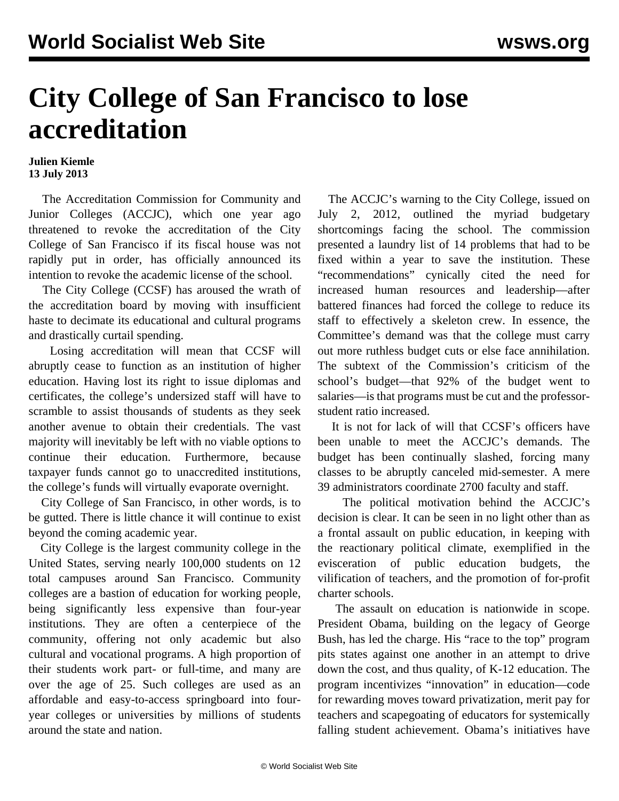## **City College of San Francisco to lose accreditation**

## **Julien Kiemle 13 July 2013**

 The Accreditation Commission for Community and Junior Colleges (ACCJC), which one year ago threatened to revoke the accreditation of the City College of San Francisco if its fiscal house was not rapidly put in order, has officially announced its intention to revoke the academic license of the school.

 The City College (CCSF) has aroused the wrath of the accreditation board by moving with insufficient haste to decimate its educational and cultural programs and drastically curtail spending.

 Losing accreditation will mean that CCSF will abruptly cease to function as an institution of higher education. Having lost its right to issue diplomas and certificates, the college's undersized staff will have to scramble to assist thousands of students as they seek another avenue to obtain their credentials. The vast majority will inevitably be left with no viable options to continue their education. Furthermore, because taxpayer funds cannot go to unaccredited institutions, the college's funds will virtually evaporate overnight.

 City College of San Francisco, in other words, is to be gutted. There is little chance it will continue to exist beyond the coming academic year.

 City College is the largest community college in the United States, serving nearly 100,000 students on 12 total campuses around San Francisco. Community colleges are a bastion of education for working people, being significantly less expensive than four-year institutions. They are often a centerpiece of the community, offering not only academic but also cultural and vocational programs. A high proportion of their students work part- or full-time, and many are over the age of 25. Such colleges are used as an affordable and easy-to-access springboard into fouryear colleges or universities by millions of students around the state and nation.

 The ACCJC's warning to the City College, issued on July 2, 2012, outlined the myriad budgetary shortcomings facing the school. The commission presented a laundry list of 14 problems that had to be fixed within a year to save the institution. These "recommendations" cynically cited the need for increased human resources and leadership—after battered finances had forced the college to reduce its staff to effectively a skeleton crew. In essence, the Committee's demand was that the college must carry out more ruthless budget cuts or else face annihilation. The subtext of the Commission's criticism of the school's budget—that 92% of the budget went to salaries—is that programs must be cut and the professorstudent ratio increased.

 It is not for lack of will that CCSF's officers have been unable to meet the ACCJC's demands. The budget has been continually slashed, forcing many classes to be abruptly canceled mid-semester. A mere 39 administrators coordinate 2700 faculty and staff.

 The political motivation behind the ACCJC's decision is clear. It can be seen in no light other than as a frontal assault on public education, in keeping with the reactionary political climate, exemplified in the evisceration of public education budgets, the vilification of teachers, and the promotion of for-profit charter schools.

 The assault on education is nationwide in scope. President Obama, building on the legacy of George Bush, has led the charge. His "race to the top" program pits states against one another in an attempt to drive down the cost, and thus quality, of K-12 education. The program incentivizes "innovation" in education—code for rewarding moves toward privatization, merit pay for teachers and scapegoating of educators for systemically falling student achievement. Obama's initiatives have